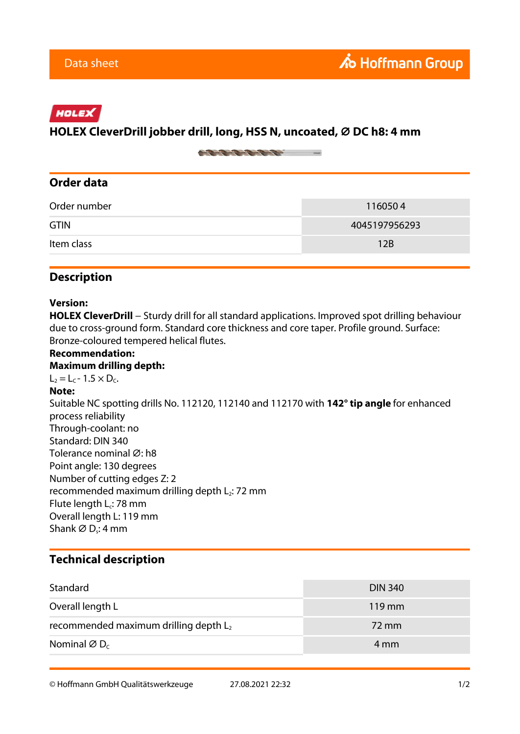# HOLEX

### **HOLEX CleverDrill jobber drill, long, HSS N, uncoated, ⌀ DC h8: 4 mm**

on the top the first many

## **Order data**

| Order number | 1160504       |
|--------------|---------------|
| <b>GTIN</b>  | 4045197956293 |
| Item class   | 12B           |

### **Description**

#### **Version:**

HOLEX CleverDrill − Sturdy drill for all standard applications. Improved spot drilling behaviour due to cross-ground form. Standard core thickness and core taper. Profile ground. Surface: Bronze-coloured tempered helical flutes.

#### **Recommendation: Maximum drilling depth:**  $L_2 = L_C - 1.5 \times D_C$ . **Note:** Suitable NC spotting drills No. 112120, 112140 and 112170 with **142° tip angle** for enhanced process reliability Through-coolant: no Standard: DIN 340 Tolerance nominal Ø: h8 Point angle: 130 degrees Number of cutting edges Z: 2 recommended maximum drilling depth  $L_2$ : 72 mm Flute length L<sub>c</sub>: 78 mm Overall length L: 119 mm Shank ∅ D<sub>s</sub>: 4 mm

# **Technical description**

| Standard                                 | <b>DIN 340</b>      |
|------------------------------------------|---------------------|
| Overall length L                         | $119 \,\mathrm{mm}$ |
| recommended maximum drilling depth $L_2$ | 72 mm               |
| Nominal $\varnothing$ D <sub>c</sub>     | 4 mm                |